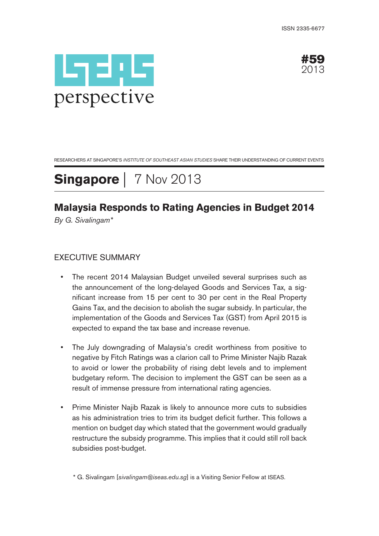



RESEARCHERS AT SINGAPORE'S INSTITUTE OF SOUTHEAST ASIAN STUDIES SHARE THEIR UNDERSTANDING OF CURRENT EVENTS

# **Singapore** | 7 Nov 2013

## **Malaysia Responds to Rating Agencies in Budget 2014**

By G. Sivalingam\*

### EXECUTIVE SUMMARY

- The recent 2014 Malaysian Budget unveiled several surprises such as the announcement of the long-delayed Goods and Services Tax, a significant increase from 15 per cent to 30 per cent in the Real Property Gains Tax, and the decision to abolish the sugar subsidy. In particular, the implementation of the Goods and Services Tax (GST) from April 2015 is expected to expand the tax base and increase revenue.
- The July downgrading of Malaysia's credit worthiness from positive to negative by Fitch Ratings was a clarion call to Prime Minister Najib Razak to avoid or lower the probability of rising debt levels and to implement budgetary reform. The decision to implement the GST can be seen as a result of immense pressure from international rating agencies.
- Prime Minister Najib Razak is likely to announce more cuts to subsidies as his administration tries to trim its budget deficit further. This follows a mention on budget day which stated that the government would gradually restructure the subsidy programme. This implies that it could still roll back subsidies post-budget.

\* G. Sivalingam [sivalingam@iseas.edu.sg] is a Visiting Senior Fellow at ISEAS.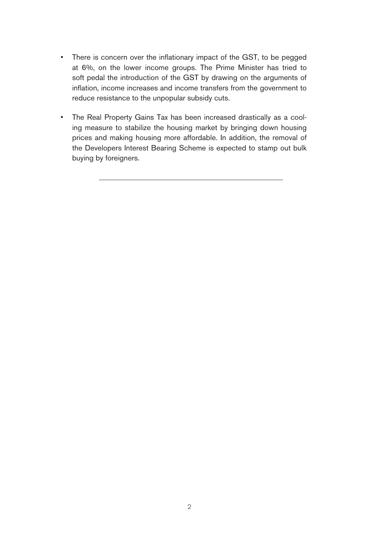- There is concern over the inflationary impact of the GST, to be pegged at 6%, on the lower income groups. The Prime Minister has tried to soft pedal the introduction of the GST by drawing on the arguments of inflation, income increases and income transfers from the government to reduce resistance to the unpopular subsidy cuts.
- The Real Property Gains Tax has been increased drastically as a cooling measure to stabilize the housing market by bringing down housing prices and making housing more affordable. In addition, the removal of the Developers Interest Bearing Scheme is expected to stamp out bulk buying by foreigners.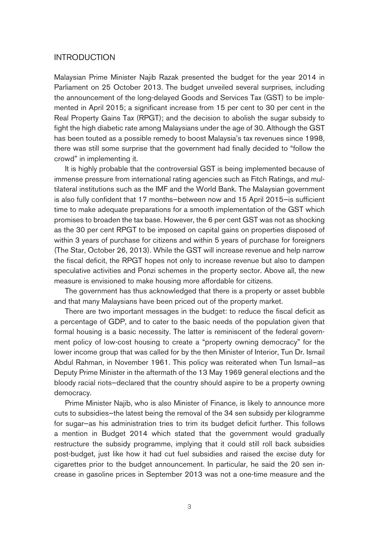#### INTRODUCTION

Malaysian Prime Minister Najib Razak presented the budget for the year 2014 in Parliament on 25 October 2013. The budget unveiled several surprises, including the announcement of the long-delayed Goods and Services Tax (GST) to be implemented in April 2015; a significant increase from 15 per cent to 30 per cent in the Real Property Gains Tax (RPGT); and the decision to abolish the sugar subsidy to fight the high diabetic rate among Malaysians under the age of 30. Although the GST has been touted as a possible remedy to boost Malaysia's tax revenues since 1998, there was still some surprise that the government had finally decided to "follow the crowd" in implementing it.

It is highly probable that the controversial GST is being implemented because of immense pressure from international rating agencies such as Fitch Ratings, and multilateral institutions such as the IMF and the World Bank. The Malaysian government is also fully confident that 17 months—between now and 15 April 2015—is sufficient time to make adequate preparations for a smooth implementation of the GST which promises to broaden the tax base. However, the 6 per cent GST was not as shocking as the 30 per cent RPGT to be imposed on capital gains on properties disposed of within 3 years of purchase for citizens and within 5 years of purchase for foreigners (The Star, October 26, 2013). While the GST will increase revenue and help narrow the fiscal deficit, the RPGT hopes not only to increase revenue but also to dampen speculative activities and Ponzi schemes in the property sector. Above all, the new measure is envisioned to make housing more affordable for citizens.

The government has thus acknowledged that there is a property or asset bubble and that many Malaysians have been priced out of the property market.

There are two important messages in the budget: to reduce the fiscal deficit as a percentage of GDP, and to cater to the basic needs of the population given that formal housing is a basic necessity. The latter is reminiscent of the federal government policy of low-cost housing to create a "property owning democracy" for the lower income group that was called for by the then Minister of Interior, Tun Dr. Ismail Abdul Rahman, in November 1961. This policy was reiterated when Tun Ismail—as Deputy Prime Minister in the aftermath of the 13 May 1969 general elections and the bloody racial riots—declared that the country should aspire to be a property owning democracy.

Prime Minister Najib, who is also Minister of Finance, is likely to announce more cuts to subsidies—the latest being the removal of the 34 sen subsidy per kilogramme for sugar—as his administration tries to trim its budget deficit further. This follows a mention in Budget 2014 which stated that the government would gradually restructure the subsidy programme, implying that it could still roll back subsidies post-budget, just like how it had cut fuel subsidies and raised the excise duty for cigarettes prior to the budget announcement. In particular, he said the 20 sen increase in gasoline prices in September 2013 was not a one-time measure and the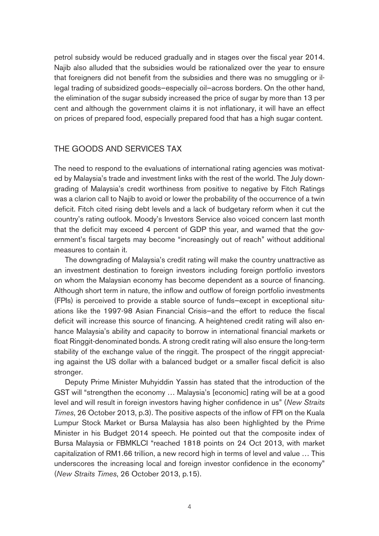petrol subsidy would be reduced gradually and in stages over the fiscal year 2014. Najib also alluded that the subsidies would be rationalized over the year to ensure that foreigners did not benefit from the subsidies and there was no smuggling or illegal trading of subsidized goods—especially oil—across borders. On the other hand, the elimination of the sugar subsidy increased the price of sugar by more than 13 per cent and although the government claims it is not inflationary, it will have an effect on prices of prepared food, especially prepared food that has a high sugar content.

#### THE GOODS AND SERVICES TAX

The need to respond to the evaluations of international rating agencies was motivated by Malaysia's trade and investment links with the rest of the world. The July downgrading of Malaysia's credit worthiness from positive to negative by Fitch Ratings was a clarion call to Najib to avoid or lower the probability of the occurrence of a twin deficit. Fitch cited rising debt levels and a lack of budgetary reform when it cut the country's rating outlook. Moody's Investors Service also voiced concern last month that the deficit may exceed 4 percent of GDP this year, and warned that the government's fiscal targets may become "increasingly out of reach" without additional measures to contain it.

The downgrading of Malaysia's credit rating will make the country unattractive as an investment destination to foreign investors including foreign portfolio investors on whom the Malaysian economy has become dependent as a source of financing. Although short term in nature, the inflow and outflow of foreign portfolio investments (FPIs) is perceived to provide a stable source of funds—except in exceptional situations like the 1997-98 Asian Financial Crisis—and the effort to reduce the fiscal deficit will increase this source of financing. A heightened credit rating will also enhance Malaysia's ability and capacity to borrow in international financial markets or float Ringgit-denominated bonds. A strong credit rating will also ensure the long-term stability of the exchange value of the ringgit. The prospect of the ringgit appreciating against the US dollar with a balanced budget or a smaller fiscal deficit is also stronger.

Deputy Prime Minister Muhyiddin Yassin has stated that the introduction of the GST will "strengthen the economy … Malaysia's [economic] rating will be at a good level and will result in foreign investors having higher confidence in us" (New Straits Times, 26 October 2013, p.3). The positive aspects of the inflow of FPI on the Kuala Lumpur Stock Market or Bursa Malaysia has also been highlighted by the Prime Minister in his Budget 2014 speech. He pointed out that the composite index of Bursa Malaysia or FBMKLCI "reached 1818 points on 24 Oct 2013, with market capitalization of RM1.66 trillion, a new record high in terms of level and value … This underscores the increasing local and foreign investor confidence in the economy" (New Straits Times, 26 October 2013, p.15).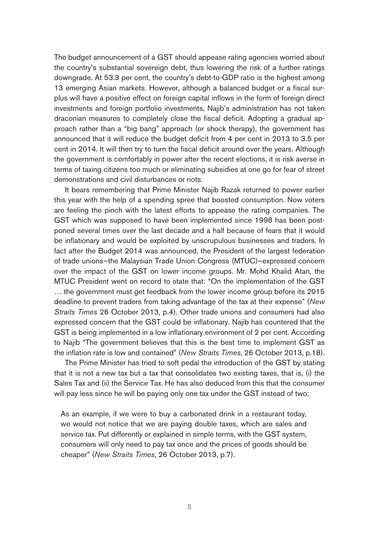The budget announcement of a GST should appease rating agencies worried about the country's substantial sovereign debt, thus lowering the risk of a further ratings downgrade. At 53.3 per cent, the country's debt-to-GDP ratio is the highest among 13 emerging Asian markets. However, although a balanced budget or a fiscal surplus will have a positive effect on foreign capital inflows in the form of foreign direct investments and foreign portfolio investments, Najib's administration has not taken draconian measures to completely close the fiscal deficit. Adopting a gradual approach rather than a "big bang" approach (or shock therapy), the government has announced that it will reduce the budget deficit from 4 per cent in 2013 to 3.5 per cent in 2014. It will then try to turn the fiscal deficit around over the years. Although the government is comfortably in power after the recent elections, it is risk averse in terms of taxing citizens too much or eliminating subsidies at one go for fear of street demonstrations and civil disturbances or riots.

It bears remembering that Prime Minister Najib Razak returned to power earlier this year with the help of a spending spree that boosted consumption. Now voters are feeling the pinch with the latest efforts to appease the rating companies. The GST which was supposed to have been implemented since 1998 has been postponed several times over the last decade and a half because of fears that it would be inflationary and would be exploited by unscrupulous businesses and traders. In fact after the Budget 2014 was announced, the President of the largest federation of trade unions—the Malaysian Trade Union Congress (MTUC)—expressed concern over the impact of the GST on lower income groups. Mr. Mohd Khalid Atan, the MTUC President went on record to state that: "On the implementation of the GST … the government must get feedback from the lower income group before its 2015 deadline to prevent traders from taking advantage of the tax at their expense" (New Straits Times 26 October 2013, p.4). Other trade unions and consumers had also expressed concern that the GST could be inflationary. Najib has countered that the GST is being implemented in a low inflationary environment of 2 per cent. According to Najib "The government believes that this is the best time to implement GST as the inflation rate is low and contained" (New Straits Times, 26 October 2013, p.18).

The Prime Minister has tried to soft pedal the introduction of the GST by stating that it is not a new tax but a tax that consolidates two existing taxes, that is, (i) the Sales Tax and (ii) the Service Tax. He has also deduced from this that the consumer will pay less since he will be paying only one tax under the GST instead of two:

As an example, if we were to buy a carbonated drink in a restaurant today, we would not notice that we are paying double taxes, which are sales and service tax. Put differently or explained in simple terms, with the GST system, consumers will only need to pay tax once and the prices of goods should be cheaper" (New Straits Times, 26 October 2013, p.7).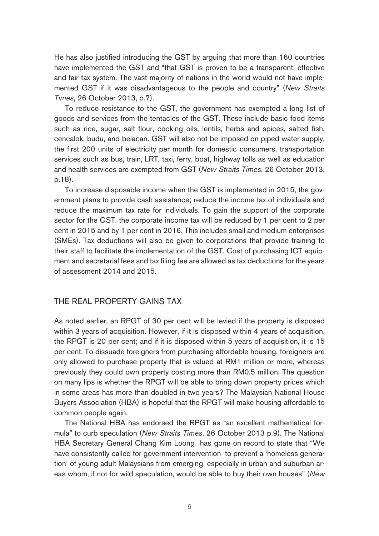He has also justified introducing the GST by arguing that more than 160 countries have implemented the GST and "that GST is proven to be a transparent, effective and fair tax system. The vast majority of nations in the world would not have implemented GST if it was disadvantageous to the people and country" (New Straits Times, 26 October 2013, p.7).

To reduce resistance to the GST, the government has exempted a long list of goods and services from the tentacles of the GST. These include basic food items such as rice, sugar, salt flour, cooking oils, lentils, herbs and spices, salted fish, cencalok, budu, and belacan. GST will also not be imposed on piped water supply, the first 200 units of electricity per month for domestic consumers, transportation services such as bus, train, LRT, taxi, ferry, boat, highway tolls as well as education and health services are exempted from GST (New Straits Times, 26 October 2013, p.18).

To increase disposable income when the GST is implemented in 2015, the government plans to provide cash assistance; reduce the income tax of individuals and reduce the maximum tax rate for individuals. To gain the support of the corporate sector for the GST, the corporate income tax will be reduced by 1 per cent to 2 per cent in 2015 and by 1 per cent in 2016. This includes small and medium enterprises (SMEs). Tax deductions will also be given to corporations that provide training to their staff to facilitate the implementation of the GST. Cost of purchasing ICT equipment and secretarial fees and tax filing fee are allowed as tax deductions for the years of assessment 2014 and 2015.

### THE REAL PROPERTY GAINS TAX

As noted earlier, an RPGT of 30 per cent will be levied if the property is disposed within 3 years of acquisition. However, if it is disposed within 4 years of acquisition, the RPGT is 20 per cent; and if it is disposed within 5 years of acquisition, it is 15 per cent. To dissuade foreigners from purchasing affordable housing, foreigners are only allowed to purchase property that is valued at RM1 million or more, whereas previously they could own property costing more than RM0.5 million. The question on many lips is whether the RPGT will be able to bring down property prices which in some areas has more than doubled in two years? The Malaysian National House Buyers Association (HBA) is hopeful that the RPGT will make housing affordable to common people again.

The National HBA has endorsed the RPGT as "an excellent mathematical formula" to curb speculation (New Straits Times, 26 October 2013 p.9). The National HBA Secretary General Chang Kim Loong has gone on record to state that "We have consistently called for government intervention to prevent a 'homeless generation' of young adult Malaysians from emerging, especially in urban and suburban areas whom, if not for wild speculation, would be able to buy their own houses" (New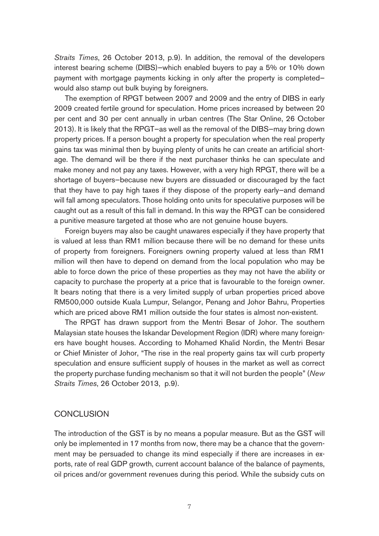Straits Times, 26 October 2013, p.9). In addition, the removal of the developers interest bearing scheme (DIBS)—which enabled buyers to pay a 5% or 10% down payment with mortgage payments kicking in only after the property is completed would also stamp out bulk buying by foreigners.

The exemption of RPGT between 2007 and 2009 and the entry of DIBS in early 2009 created fertile ground for speculation. Home prices increased by between 20 per cent and 30 per cent annually in urban centres (The Star Online, 26 October 2013). It is likely that the RPGT—as well as the removal of the DIBS—may bring down property prices. If a person bought a property for speculation when the real property gains tax was minimal then by buying plenty of units he can create an artificial shortage. The demand will be there if the next purchaser thinks he can speculate and make money and not pay any taxes. However, with a very high RPGT, there will be a shortage of buyers—because new buyers are dissuaded or discouraged by the fact that they have to pay high taxes if they dispose of the property early—and demand will fall among speculators. Those holding onto units for speculative purposes will be caught out as a result of this fall in demand. In this way the RPGT can be considered a punitive measure targeted at those who are not genuine house buyers.

Foreign buyers may also be caught unawares especially if they have property that is valued at less than RM1 million because there will be no demand for these units of property from foreigners. Foreigners owning property valued at less than RM1 million will then have to depend on demand from the local population who may be able to force down the price of these properties as they may not have the ability or capacity to purchase the property at a price that is favourable to the foreign owner. It bears noting that there is a very limited supply of urban properties priced above RM500,000 outside Kuala Lumpur, Selangor, Penang and Johor Bahru, Properties which are priced above RM1 million outside the four states is almost non-existent.

The RPGT has drawn support from the Mentri Besar of Johor. The southern Malaysian state houses the Iskandar Development Region (IDR) where many foreigners have bought houses. According to Mohamed Khalid Nordin, the Mentri Besar or Chief Minister of Johor, "The rise in the real property gains tax will curb property speculation and ensure sufficient supply of houses in the market as well as correct the property purchase funding mechanism so that it will not burden the people" (New Straits Times, 26 October 2013, p.9).

#### **CONCLUSION**

The introduction of the GST is by no means a popular measure. But as the GST will only be implemented in 17 months from now, there may be a chance that the government may be persuaded to change its mind especially if there are increases in exports, rate of real GDP growth, current account balance of the balance of payments, oil prices and/or government revenues during this period. While the subsidy cuts on